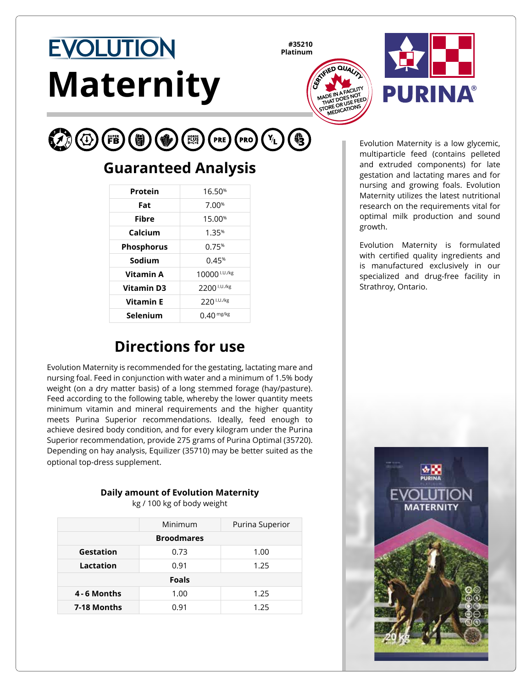# **EVOLUTION Maternity**

**#35210 Platinum**





#### $\mathcal{L}(\Phi)$ (FB (PRO)  $\mathbf{Y_L}$ **PRE**

## **Guaranteed Analysis**

| Protein           | 16.50 <sup>%</sup> |
|-------------------|--------------------|
| Fat               | 7.00%              |
| Fibre             | 15.00 <sup>%</sup> |
| Calcium           | 1.35%              |
| <b>Phosphorus</b> | 0.75%              |
| Sodium            | 0.45%              |
| Vitamin A         | 10000 I.U./kg      |
| <b>Vitamin D3</b> | 2200 I.U./kg       |
| <b>Vitamin E</b>  | 220 I.U./kg        |
| Selenium          | $0.40$ mg/kg       |

## **Directions for use**

Evolution Maternity is recommended for the gestating, lactating mare and nursing foal. Feed in conjunction with water and a minimum of 1.5% body weight (on a dry matter basis) of a long stemmed forage (hay/pasture). Feed according to the following table, whereby the lower quantity meets minimum vitamin and mineral requirements and the higher quantity meets Purina Superior recommendations. Ideally, feed enough to achieve desired body condition, and for every kilogram under the Purina Superior recommendation, provide 275 grams of Purina Optimal (35720). Depending on hay analysis, Equilizer (35710) may be better suited as the optional top-dress supplement.

#### **Daily amount of Evolution Maternity**

kg / 100 kg of body weight

|                   | Minimum | Purina Superior |  |  |
|-------------------|---------|-----------------|--|--|
| <b>Broodmares</b> |         |                 |  |  |
| Gestation         | 0.73    | 1.00            |  |  |
| Lactation         | 0.91    | 1.25            |  |  |
| <b>Foals</b>      |         |                 |  |  |
| 4 - 6 Months      | 1.00    | 1.25            |  |  |
| 7-18 Months       | 0.91    | 1.25            |  |  |

Evolution Maternity is a low glycemic, multiparticle feed (contains pelleted and extruded components) for late gestation and lactating mares and for nursing and growing foals. Evolution Maternity utilizes the latest nutritional research on the requirements vital for optimal milk production and sound growth.

Evolution Maternity is formulated with certified quality ingredients and is manufactured exclusively in our specialized and drug-free facility in Strathroy, Ontario.